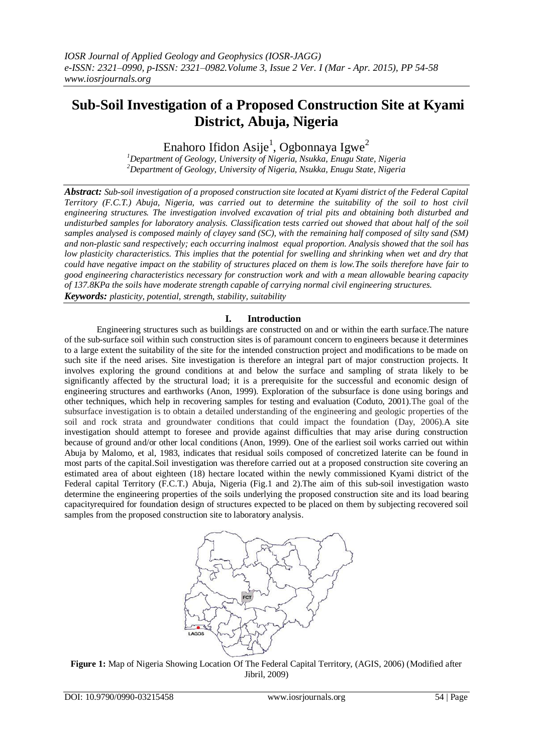# **Sub-Soil Investigation of a Proposed Construction Site at Kyami District, Abuja, Nigeria**

Enahoro Ifidon Asije $^1$ , Ogbonnaya Igwe $^2$ 

*<sup>1</sup>Department of Geology, University of Nigeria, Nsukka, Enugu State, Nigeria <sup>2</sup>Department of Geology, University of Nigeria, Nsukka, Enugu State, Nigeria*

*Abstract: Sub-soil investigation of a proposed construction site located at Kyami district of the Federal Capital Territory (F.C.T.) Abuja, Nigeria, was carried out to determine the suitability of the soil to host civil engineering structures. The investigation involved excavation of trial pits and obtaining both disturbed and undisturbed samples for laboratory analysis. Classification tests carried out showed that about half of the soil samples analysed is composed mainly of clayey sand (SC), with the remaining half composed of silty sand (SM) and non-plastic sand respectively; each occurring inalmost equal proportion. Analysis showed that the soil has low plasticity characteristics. This implies that the potential for swelling and shrinking when wet and dry that could have negative impact on the stability of structures placed on them is low.The soils therefore have fair to good engineering characteristics necessary for construction work and with a mean allowable bearing capacity of 137.8KPa the soils have moderate strength capable of carrying normal civil engineering structures. Keywords: plasticity, potential, strength, stability, suitability*

# **I. Introduction**

Engineering structures such as buildings are constructed on and or within the earth surface.The nature of the sub-surface soil within such construction sites is of paramount concern to engineers because it determines to a large extent the suitability of the site for the intended construction project and modifications to be made on such site if the need arises. Site investigation is therefore an integral part of major construction projects. It involves exploring the ground conditions at and below the surface and sampling of strata likely to be significantly affected by the structural load; it is a prerequisite for the successful and economic design of engineering structures and earthworks (Anon, 1999). Exploration of the subsurface is done using borings and other techniques, which help in recovering samples for testing and evaluation (Coduto, 2001).The goal of the subsurface investigation is to obtain a detailed understanding of the engineering and geologic properties of the soil and rock strata and groundwater conditions that could impact the foundation (Day, 2006).A site investigation should attempt to foresee and provide against difficulties that may arise during construction because of ground and/or other local conditions (Anon, 1999). One of the earliest soil works carried out within Abuja by Malomo, et al, 1983, indicates that residual soils composed of concretized laterite can be found in most parts of the capital.Soil investigation was therefore carried out at a proposed construction site covering an estimated area of about eighteen (18) hectare located within the newly commissioned Kyami district of the Federal capital Territory (F.C.T.) Abuja, Nigeria (Fig.1 and 2).The aim of this sub-soil investigation wasto determine the engineering properties of the soils underlying the proposed construction site and its load bearing capacityrequired for foundation design of structures expected to be placed on them by subjecting recovered soil samples from the proposed construction site to laboratory analysis.



**Figure 1:** Map of Nigeria Showing Location Of The Federal Capital Territory, (AGIS, 2006) (Modified after Jibril, 2009)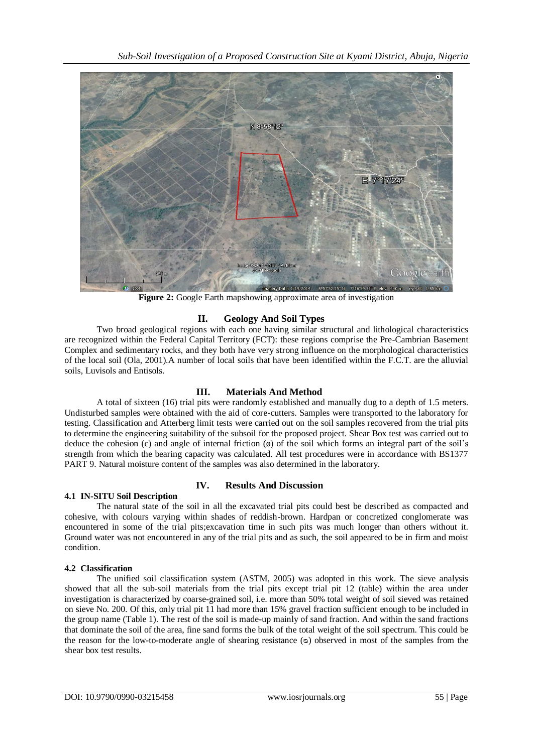

**Figure 2:** Google Earth mapshowing approximate area of investigation

# **II. Geology And Soil Types**

Two broad geological regions with each one having similar structural and lithological characteristics are recognized within the Federal Capital Territory (FCT): these regions comprise the Pre-Cambrian Basement Complex and sedimentary rocks, and they both have very strong influence on the morphological characteristics of the local soil (Ola, 2001).A number of local soils that have been identified within the F.C.T. are the alluvial soils, Luvisols and Entisols.

# **III. Materials And Method**

A total of sixteen (16) trial pits were randomly established and manually dug to a depth of 1.5 meters. Undisturbed samples were obtained with the aid of core-cutters. Samples were transported to the laboratory for testing. Classification and Atterberg limit tests were carried out on the soil samples recovered from the trial pits to determine the engineering suitability of the subsoil for the proposed project. Shear Box test was carried out to deduce the cohesion (c) and angle of internal friction (ø) of the soil which forms an integral part of the soil's strength from which the bearing capacity was calculated. All test procedures were in accordance with BS1377 PART 9. Natural moisture content of the samples was also determined in the laboratory.

# **IV. Results And Discussion**

## **4.1 IN-SITU Soil Description**

The natural state of the soil in all the excavated trial pits could best be described as compacted and cohesive, with colours varying within shades of reddish-brown. Hardpan or concretized conglomerate was encountered in some of the trial pits;excavation time in such pits was much longer than others without it. Ground water was not encountered in any of the trial pits and as such, the soil appeared to be in firm and moist condition.

## **4.2 Classification**

The unified soil classification system (ASTM, 2005) was adopted in this work. The sieve analysis showed that all the sub-soil materials from the trial pits except trial pit 12 (table) within the area under investigation is characterized by coarse-grained soil, i.e. more than 50% total weight of soil sieved was retained on sieve No. 200. Of this, only trial pit 11 had more than 15% gravel fraction sufficient enough to be included in the group name (Table 1). The rest of the soil is made-up mainly of sand fraction. And within the sand fractions that dominate the soil of the area, fine sand forms the bulk of the total weight of the soil spectrum. This could be the reason for the low-to-moderate angle of shearing resistance (ᴓ) observed in most of the samples from the shear box test results.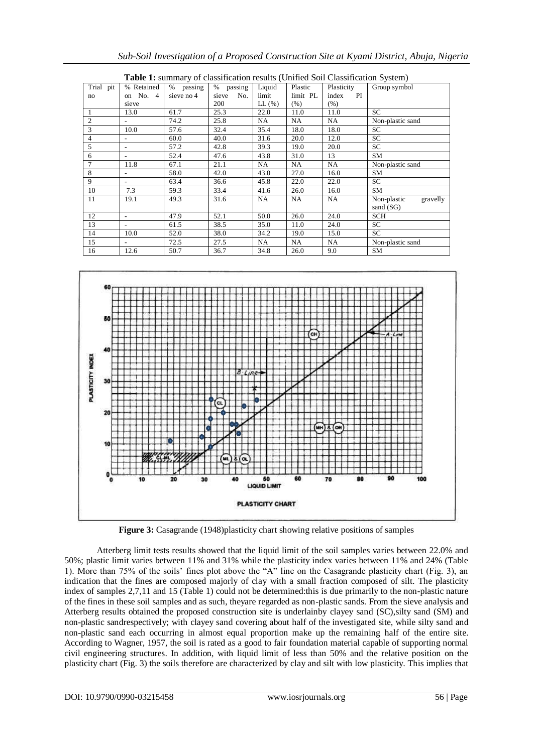|                |                | <b>Table 1.</b> Summary of Classification results (Omned Son Classification System) |              |             |          |             |                         |
|----------------|----------------|-------------------------------------------------------------------------------------|--------------|-------------|----------|-------------|-------------------------|
| Trial pit      | % Retained     | % passing                                                                           | % passing    | Liquid      | Plastic  | Plasticity  | Group symbol            |
| no             | on No. $4$     | sieve no 4                                                                          | No.<br>sieve | limit       | limit PL | index<br>PI |                         |
|                | sieve          |                                                                                     | 200          | $LL$ $(\%)$ | $(\%)$   | (% )        |                         |
|                | 13.0           | 61.7                                                                                | 25.3         | 22.0        | 11.0     | 11.0        | SC.                     |
| $\overline{c}$ |                | 74.2                                                                                | 25.8         | NA.         | NA       | NA.         | Non-plastic sand        |
| 3              | 10.0           | 57.6                                                                                | 32.4         | 35.4        | 18.0     | 18.0        | <b>SC</b>               |
| $\overline{4}$ | $\overline{a}$ | 60.0                                                                                | 40.0         | 31.6        | 20.0     | 12.0        | SC.                     |
| 5              | ٠              | 57.2                                                                                | 42.8         | 39.3        | 19.0     | 20.0        | SC.                     |
| 6              | ۰              | 52.4                                                                                | 47.6         | 43.8        | 31.0     | 13          | <b>SM</b>               |
| 7              | 11.8           | 67.1                                                                                | 21.1         | NA.         | NA       | NA.         | Non-plastic sand        |
| 8              |                | 58.0                                                                                | 42.0         | 43.0        | 27.0     | 16.0        | SM                      |
| 9              | ۰              | 63.4                                                                                | 36.6         | 45.8        | 22.0     | 22.0        | SC.                     |
| 10             | 7.3            | 59.3                                                                                | 33.4         | 41.6        | 26.0     | 16.0        | SM                      |
| 11             | 19.1           | 49.3                                                                                | 31.6         | NA          | NA.      | <b>NA</b>   | Non-plastic<br>gravelly |
|                |                |                                                                                     |              |             |          |             | sand (SG)               |
| 12             | ٠              | 47.9                                                                                | 52.1         | 50.0        | 26.0     | 24.0        | SCH                     |
| 13             | ٠              | 61.5                                                                                | 38.5         | 35.0        | 11.0     | 24.0        | SC.                     |
| 14             | 10.0           | 52.0                                                                                | 38.0         | 34.2        | 19.0     | 15.0        | <b>SC</b>               |
| 15             |                | 72.5                                                                                | 27.5         | NA          | NA.      | NA.         | Non-plastic sand        |
| 16             | 12.6           | 50.7                                                                                | 36.7         | 34.8        | 26.0     | 9.0         | SM                      |

of classification results (Unified Soil Classification System)



**Figure 3:** Casagrande (1948)plasticity chart showing relative positions of samples

Atterberg limit tests results showed that the liquid limit of the soil samples varies between 22.0% and 50%; plastic limit varies between 11% and 31% while the plasticity index varies between 11% and 24% (Table 1). More than 75% of the soils' fines plot above the "A" line on the Casagrande plasticity chart (Fig. 3), an indication that the fines are composed majorly of clay with a small fraction composed of silt. The plasticity index of samples 2,7,11 and 15 (Table 1) could not be determined:this is due primarily to the non-plastic nature of the fines in these soil samples and as such, theyare regarded as non-plastic sands. From the sieve analysis and Atterberg results obtained the proposed construction site is underlainby clayey sand (SC),silty sand (SM) and non-plastic sandrespectively; with clayey sand covering about half of the investigated site, while silty sand and non-plastic sand each occurring in almost equal proportion make up the remaining half of the entire site. According to Wagner, 1957, the soil is rated as a good to fair foundation material capable of supporting normal civil engineering structures. In addition, with liquid limit of less than 50% and the relative position on the plasticity chart (Fig. 3) the soils therefore are characterized by clay and silt with low plasticity. This implies that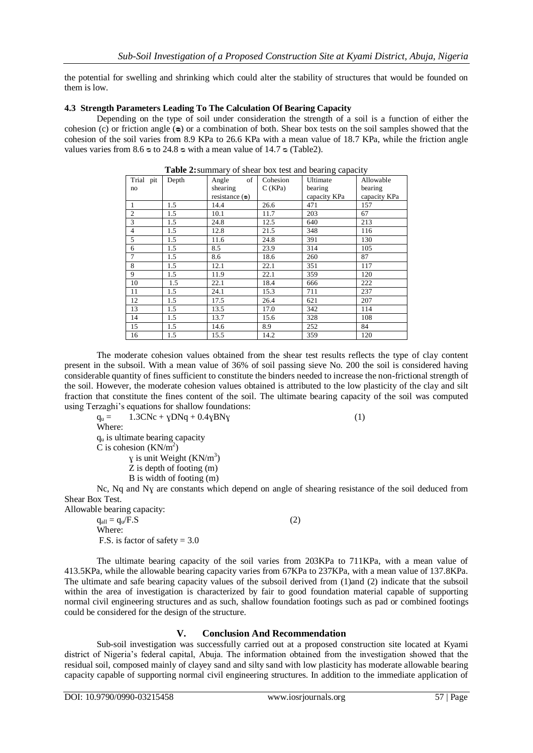the potential for swelling and shrinking which could alter the stability of structures that would be founded on them is low.

#### **4.3 Strength Parameters Leading To The Calculation Of Bearing Capacity**

Depending on the type of soil under consideration the strength of a soil is a function of either the cohesion (c) or friction angle (**ᴓ**) or a combination of both. Shear box tests on the soil samples showed that the cohesion of the soil varies from 8.9 KPa to 26.6 KPa with a mean value of 18.7 KPa, while the friction angle values varies from  $8.6 \approx \text{to } 24.8 \approx \text{with a mean value of } 14.7 \approx \text{(Table2)}$ .

| Trial pit      | Depth | of<br>Angle           | Cohesion | Ultimate     | Allowable    |
|----------------|-------|-----------------------|----------|--------------|--------------|
| no             |       | shearing              | C(KPa)   | bearing      | bearing      |
|                |       | resistance $(\infty)$ |          | capacity KPa | capacity KPa |
| $\mathbf{1}$   | 1.5   | 14.4                  | 26.6     | 471          | 157          |
| $\overline{c}$ | 1.5   | 10.1                  | 11.7     | 203          | 67           |
| 3              | 1.5   | 24.8                  | 12.5     | 640          | 213          |
| $\overline{4}$ | 1.5   | 12.8                  | 21.5     | 348          | 116          |
| 5              | 1.5   | 11.6                  | 24.8     | 391          | 130          |
| 6              | 1.5   | 8.5                   | 23.9     | 314          | 105          |
| $\overline{7}$ | 1.5   | 8.6                   | 18.6     | 260          | 87           |
| 8              | 1.5   | 12.1                  | 22.1     | 351          | 117          |
| 9              | 1.5   | 11.9                  | 22.1     | 359          | 120          |
| 10             | 1.5   | 22.1                  | 18.4     | 666          | 222          |
| 11             | 1.5   | 24.1                  | 15.3     | 711          | 237          |
| 12             | 1.5   | 17.5                  | 26.4     | 621          | 207          |
| 13             | 1.5   | 13.5                  | 17.0     | 342          | 114          |
| 14             | 1.5   | 13.7                  | 15.6     | 328          | 108          |
| 15             | 1.5   | 14.6                  | 8.9      | 252          | 84           |
| 16             | 1.5   | 15.5                  | 14.2     | 359          | 120          |

| Table 2: summary of shear box test and bearing capacity |
|---------------------------------------------------------|
|---------------------------------------------------------|

The moderate cohesion values obtained from the shear test results reflects the type of clay content present in the subsoil. With a mean value of 36% of soil passing sieve No. 200 the soil is considered having considerable quantity of fines sufficient to constitute the binders needed to increase the non-frictional strength of the soil. However, the moderate cohesion values obtained is attributed to the low plasticity of the clay and silt fraction that constitute the fines content of the soil. The ultimate bearing capacity of the soil was computed using Terzaghi's equations for shallow foundations:

 $q_u = 1.3CNc + yDNq + 0.4yBNy$  (1)

Where:

q<sup>u</sup> is ultimate bearing capacity

 $\overline{C}$  is cohesion (KN/m<sup>2</sup>)

 $\gamma$  is unit Weight (KN/m<sup>3</sup>)

Z is depth of footing (m)

B is width of footing (m)

Nc, Nq and Nɣ are constants which depend on angle of shearing resistance of the soil deduced from Shear Box Test.

Allowable bearing capacity:

 $q_{all} = q_u / F.S$  (2) Where: F.S. is factor of safety = 3.0

The ultimate bearing capacity of the soil varies from 203KPa to 711KPa, with a mean value of 413.5KPa, while the allowable bearing capacity varies from 67KPa to 237KPa, with a mean value of 137.8KPa. The ultimate and safe bearing capacity values of the subsoil derived from (1)and (2) indicate that the subsoil within the area of investigation is characterized by fair to good foundation material capable of supporting normal civil engineering structures and as such, shallow foundation footings such as pad or combined footings could be considered for the design of the structure.

## **V. Conclusion And Recommendation**

Sub-soil investigation was successfully carried out at a proposed construction site located at Kyami district of Nigeria's federal capital, Abuja. The information obtained from the investigation showed that the residual soil, composed mainly of clayey sand and silty sand with low plasticity has moderate allowable bearing capacity capable of supporting normal civil engineering structures. In addition to the immediate application of